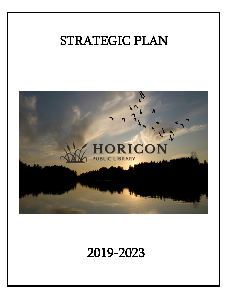# STRATEGIC PLAN



# 2019-2023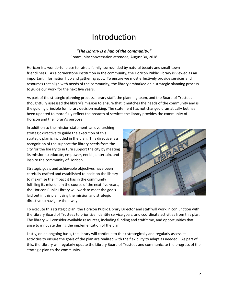# Introduction

*"The Library is a hub of the community."* Community conversation attendee, August 30, 2018

Horicon is a wonderful place to raise a family, surrounded by natural beauty and small-town friendliness. As a cornerstone institution in the community, the Horicon Public Library is viewed as an important information hub and gathering spot. To ensure we most effectively provide services and resources that align with needs of the community, the library embarked on a strategic planning process to guide our work for the next five years.

As part of the strategic planning process, library staff, the planning team, and the Board of Trustees thoughtfully assessed the library's mission to ensure that it matches the needs of the community and is the guiding principle for library decision making. The statement has not changed dramatically but has been updated to more fully reflect the breadth of services the library provides the community of Horicon and the library's purpose.

In addition to the mission statement, an overarching strategic directive to guide the execution of this strategic plan is included in the plan. This directive is a recognition of the support the library needs from the city for the library to in turn support the city by meeting its mission to educate, empower, enrich, entertain, and inspire the community of Horicon.

Strategic goals and achievable objectives have been carefully crafted and established to position the library to maximize the impact it has in the community fulfilling its mission. In the course of the next five years, the Horicon Public Library will work to meet the goals laid out in this plan using the mission and strategic directive to navigate their way.



To execute this strategic plan, the Horicon Public Library Director and staff will work in conjunction with the Library Board of Trustees to prioritize, identify service goals, and coordinate activities from this plan. The library will consider available resources, including funding and staff time, and opportunities that arise to innovate during the implementation of the plan.

Lastly, on an ongoing basis, the library will continue to think strategically and regularly assess its activities to ensure the goals of the plan are realized with the flexibility to adapt as needed. As part of this, the Library will regularly update the Library Board of Trustees and communicate the progress of the strategic plan to the community.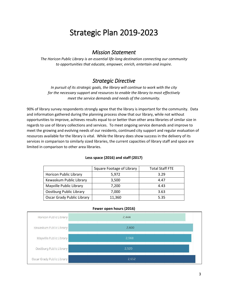# Strategic Plan 2019-2023

### *Mission Statement*

*The Horicon Public Library is an essential life-long destination connecting our community to opportunities that educate, empower, enrich, entertain and inspire.*

### *Strategic Directive*

*In pursuit of its strategic goals, the library will continue to work with the city for the necessary support and resources to enable the library to most effectively meet the service demands and needs of the community.*

90% of library survey respondents strongly agree that the library is important for the community. Data and information gathered during the planning process show that our library, while not without opportunities to improve, achieves results equal to or better than other area libraries of similar size in regards to use of library collections and services. To meet ongoing service demands and improve to meet the growing and evolving needs of our residents, continued city support and regular evaluation of resources available for the library is vital. While the library does show success in the delivery of its services in comparison to similarly sized libraries, the current capacities of library staff and space are limited in comparison to other area libraries.

#### **Less space (2016) and staff (2017)**

|                                   | Square Footage of Library | <b>Total Staff FTE</b> |
|-----------------------------------|---------------------------|------------------------|
| <b>Horicon Public Library</b>     | 5,972                     | 3.29                   |
| Kewaskum Public Library           | 3,500                     | 4.47                   |
| Mayville Public Library           | 7,200                     | 4.43                   |
| Oostburg Public Library           | 7,000                     | 3.63                   |
| <b>Oscar Grady Public Library</b> | 11,360                    | 5.35                   |

#### **Fewer open hours (2016)**

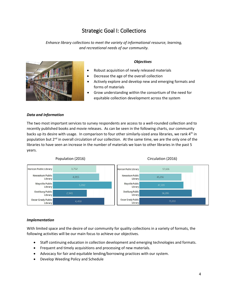# Strategic Goal I: Collections

*Enhance library collections to meet the variety of informational resource, learning, and recreational needs of our community.*



#### *Objectives*

- Robust acquisition of newly released materials
- Decrease the age of the overall collection
- Actively explore and develop new and emerging formats and forms of materials
- Grow understanding within the consortium of the need for equitable collection development across the system

#### *Data and Information*

The two most important services to survey respondents are access to a well-rounded collection and to recently published books and movie releases. As can be seen in the following charts, our community backs up its desire with usage. In comparison to four other similarly-sized area libraries, we rank 4<sup>th</sup> in population but 2<sup>nd</sup> in overall circulation of our collection. At the same time, we are the only one of the libraries to have seen an increase in the number of materials we loan to other libraries in the past 5 years.



#### Population (2016) Circulation (2016)

#### *Implementation*

With limited space and the desire of our community for quality collections in a variety of formats, the following activities will be our main focus to achieve our objectives.

- Staff continuing education in collection development and emerging technologies and formats.
- Frequent and timely acquisitions and processing of new materials.
- Advocacy for fair and equitable lending/borrowing practices with our system.
- Develop Weeding Policy and Schedule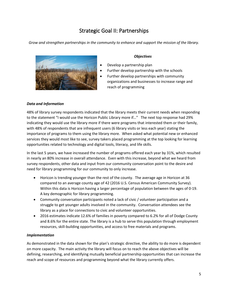# Strategic Goal II: Partnerships

*Grow and strengthen partnerships in the community to enhance and support the mission of the library.*



#### *Objectives*

- Develop a partnership plan
- Further develop partnership with the schools
- Further develop partnerships with community organizations and businesses to increase range and reach of programming

#### *Data and Information*

48% of library survey respondents indicated that the library meets their current needs when responding to the statement "I would use the Horicon Public Library more if…" The next top response had 29% indicating they would use the library more if there were programs that interested them or their family, with 48% of respondents that are infrequent users (6 library visits or less each year) stating the importance of programs to them using the library more. When asked what potential new or enhanced services they would most like to see, survey takers placed programming at the top looking for learning opportunities related to technology and digital tools, literacy, and life skills.

In the last 5 years, we have increased the number of programs offered each year by 31%, which resulted in nearly an 80% increase in overall attendance. Even with this increase, beyond what we heard from survey respondents, other data and input from our community conversation point to the desire and need for library programming for our community to only increase.

- Horicon is trending younger than the rest of the county. The average age in Horicon at 36 compared to an average county age of 42 (2016 U.S. Census American Community Survey). Within this data is Horicon having a larger percentage of population between the ages of 0-19. A key demographic for library programming.
- Community conversation participants noted a lack of civic / volunteer participation and a struggle to get younger adults involved in the community. Conversation attendees see the library as a place for connections to civic and volunteer opportunities.
- 2016 estimates indicate 12.6% of families in poverty compared to 6.2% for all of Dodge County and 8.6% for the entire state. The library is a hub to serve this population through employment resources, skill-building opportunities, and access to free materials and programs.

#### *Implementation*

As demonstrated in the data shown for the plan's strategic directive, the ability to do more is dependent on more capacity. The main activity the library will focus on to reach the above objectives will be defining, researching, and identifying mutually beneficial partnership opportunities that can increase the reach and scope of resources and programming beyond what the library currently offers.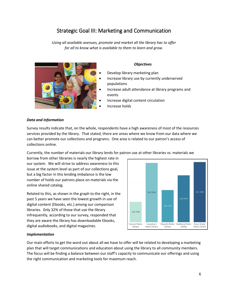# Strategic Goal III: Marketing and Communication

*Using all available avenues, promote and market all the library has to offer for all to know what is available to them to learn and grow.*



#### *Objectives*

- Develop library marketing plan
- Increase library use by currently underserved populations
- Increase adult attendance at library programs and events
- Increase digital content circulation
- Increase holds

#### *Data and Information*

Survey results indicate that, on the whole, respondents have a high awareness of most of the resources services provided by the library. That stated, there are areas where we know from our data where we can better promote our collections and programs. One area is related to our patron's access of collections online.

Currently, the number of materials our library lends for patron use at other libraries vs. materials we

borrow from other libraries is nearly the highest rate in our system. We will strive to address awareness to this issue at the system level as part of our collections goal, but a big factor in this lending imbalance is the low number of holds our patrons place on materials via the online shared catalog.

Related to this, as shown in the graph to the right, in the past 5 years we have seen the lowest growth in use of digital content (Ebooks, etc.) among our comparison libraries. 0nly 32% of those that use the library infrequently, according to our survey, responded that they are aware the library has downloadable Ebooks, digital audiobooks, and digital magazines.



#### *Implementation*

Our main efforts to get the word out about all we have to offer will be related to developing a marketing plan that will target communications and education about using the library to all community members. The focus will be finding a balance between our staff's capacity to communicate our offerings and using the right communication and marketing tools for maximum reach.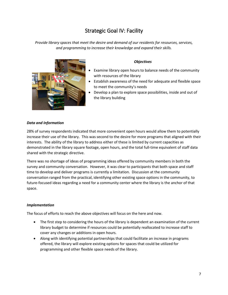# Strategic Goal IV: Facility

*Provide library spaces that meet the desire and demand of our residents for resources, services, and programming to increase their knowledge and expand their skills.*



#### *Objectives*

- Examine library open hours to balance needs of the community with resources of the library
- Establish awareness of the need for adequate and flexible space to meet the community's needs
- Develop a plan to explore space possibilities, inside and out of the library building

#### *Data and Information*

28% of survey respondents indicated that more convenient open hours would allow them to potentially increase their use of the library. This was second to the desire for more programs that aligned with their interests. The ability of the library to address either of these is limited by current capacities as demonstrated in the library square footage, open hours, and the total full-time equivalent of staff data shared with the strategic directive.

There was no shortage of ideas of programming ideas offered by community members in both the survey and community conversation. However, it was clear to participants that both space and staff time to develop and deliver programs is currently a limitation. Discussion at the community conversation ranged from the practical, identifying other existing space options in the community, to future-focused ideas regarding a need for a community center where the library is the anchor of that space.

#### *Implementation*

The focus of efforts to reach the above objectives will focus on the here and now.

- The first step to considering the hours of the library is dependent an examination of the current library budget to determine if resources could be potentially reallocated to increase staff to cover any changes or additions in open hours.
- Along with identifying potential partnerships that could facilitate an increase in programs offered, the library will explore existing options for spaces that could be utilized for programming and other flexible space needs of the library.